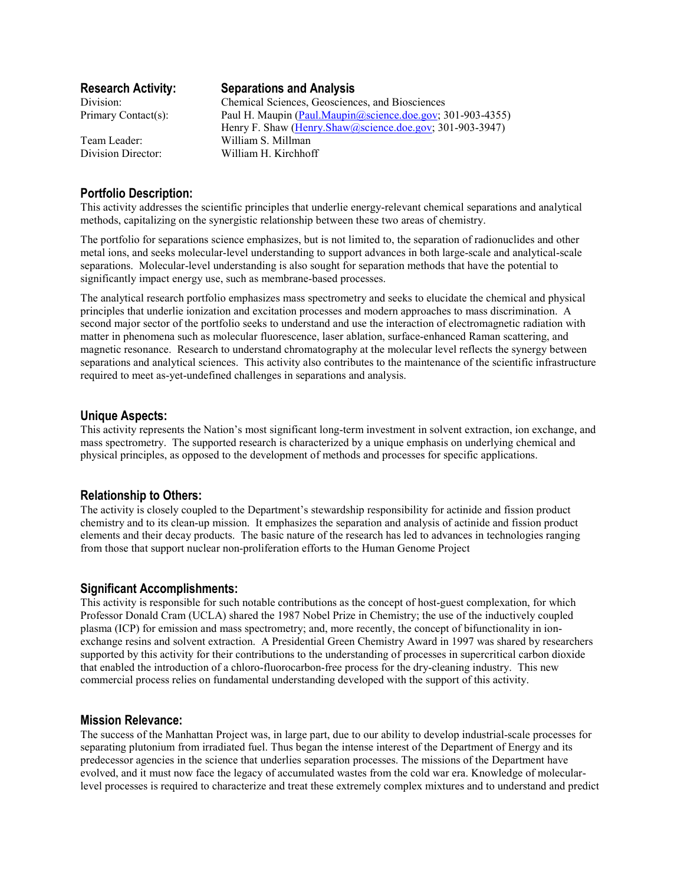# **Research Activity: Separations and Analysis**

Division: Chemical Sciences, Geosciences, and Biosciences Primary Contact(s): Paul H. Maupin (Paul.Maupin@science.doe.gov; 301-903-4355) Henry F. Shaw (Henry.Shaw@science.doe.gov; 301-903-3947) Team Leader: William S. Millman Division Director: William H. Kirchhoff

# **Portfolio Description:**

This activity addresses the scientific principles that underlie energy-relevant chemical separations and analytical methods, capitalizing on the synergistic relationship between these two areas of chemistry.

The portfolio for separations science emphasizes, but is not limited to, the separation of radionuclides and other metal ions, and seeks molecular-level understanding to support advances in both large-scale and analytical-scale separations. Molecular-level understanding is also sought for separation methods that have the potential to significantly impact energy use, such as membrane-based processes.

The analytical research portfolio emphasizes mass spectrometry and seeks to elucidate the chemical and physical principles that underlie ionization and excitation processes and modern approaches to mass discrimination. A second major sector of the portfolio seeks to understand and use the interaction of electromagnetic radiation with matter in phenomena such as molecular fluorescence, laser ablation, surface-enhanced Raman scattering, and magnetic resonance. Research to understand chromatography at the molecular level reflects the synergy between separations and analytical sciences. This activity also contributes to the maintenance of the scientific infrastructure required to meet as-yet-undefined challenges in separations and analysis.

## **Unique Aspects:**

This activity represents the Nation's most significant long-term investment in solvent extraction, ion exchange, and mass spectrometry. The supported research is characterized by a unique emphasis on underlying chemical and physical principles, as opposed to the development of methods and processes for specific applications.

## **Relationship to Others:**

The activity is closely coupled to the Department's stewardship responsibility for actinide and fission product chemistry and to its clean-up mission. It emphasizes the separation and analysis of actinide and fission product elements and their decay products. The basic nature of the research has led to advances in technologies ranging from those that support nuclear non-proliferation efforts to the Human Genome Project

#### **Significant Accomplishments:**

This activity is responsible for such notable contributions as the concept of host-guest complexation, for which Professor Donald Cram (UCLA) shared the 1987 Nobel Prize in Chemistry; the use of the inductively coupled plasma (ICP) for emission and mass spectrometry; and, more recently, the concept of bifunctionality in ionexchange resins and solvent extraction. A Presidential Green Chemistry Award in 1997 was shared by researchers supported by this activity for their contributions to the understanding of processes in supercritical carbon dioxide that enabled the introduction of a chloro-fluorocarbon-free process for the dry-cleaning industry. This new commercial process relies on fundamental understanding developed with the support of this activity.

#### **Mission Relevance:**

The success of the Manhattan Project was, in large part, due to our ability to develop industrial-scale processes for separating plutonium from irradiated fuel. Thus began the intense interest of the Department of Energy and its predecessor agencies in the science that underlies separation processes. The missions of the Department have evolved, and it must now face the legacy of accumulated wastes from the cold war era. Knowledge of molecularlevel processes is required to characterize and treat these extremely complex mixtures and to understand and predict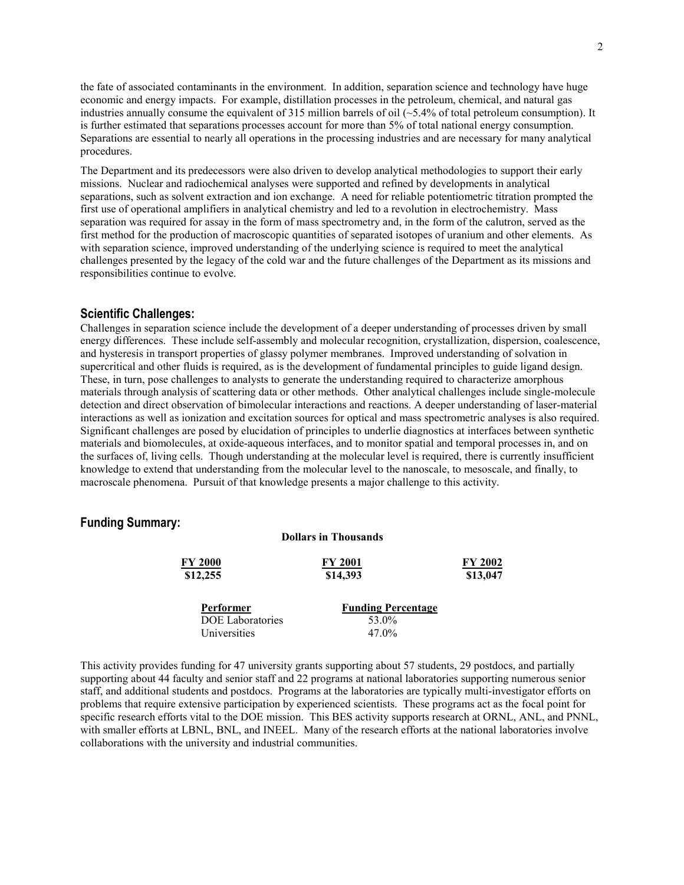the fate of associated contaminants in the environment. In addition, separation science and technology have huge economic and energy impacts. For example, distillation processes in the petroleum, chemical, and natural gas industries annually consume the equivalent of 315 million barrels of oil  $(-5.4\%$  of total petroleum consumption). It is further estimated that separations processes account for more than 5% of total national energy consumption. Separations are essential to nearly all operations in the processing industries and are necessary for many analytical procedures.

The Department and its predecessors were also driven to develop analytical methodologies to support their early missions. Nuclear and radiochemical analyses were supported and refined by developments in analytical separations, such as solvent extraction and ion exchange. A need for reliable potentiometric titration prompted the first use of operational amplifiers in analytical chemistry and led to a revolution in electrochemistry. Mass separation was required for assay in the form of mass spectrometry and, in the form of the calutron, served as the first method for the production of macroscopic quantities of separated isotopes of uranium and other elements. As with separation science, improved understanding of the underlying science is required to meet the analytical challenges presented by the legacy of the cold war and the future challenges of the Department as its missions and responsibilities continue to evolve.

### **Scientific Challenges:**

Challenges in separation science include the development of a deeper understanding of processes driven by small energy differences. These include self-assembly and molecular recognition, crystallization, dispersion, coalescence, and hysteresis in transport properties of glassy polymer membranes. Improved understanding of solvation in supercritical and other fluids is required, as is the development of fundamental principles to guide ligand design. These, in turn, pose challenges to analysts to generate the understanding required to characterize amorphous materials through analysis of scattering data or other methods. Other analytical challenges include single-molecule detection and direct observation of bimolecular interactions and reactions. A deeper understanding of laser-material interactions as well as ionization and excitation sources for optical and mass spectrometric analyses is also required. Significant challenges are posed by elucidation of principles to underlie diagnostics at interfaces between synthetic materials and biomolecules, at oxide-aqueous interfaces, and to monitor spatial and temporal processes in, and on the surfaces of, living cells. Though understanding at the molecular level is required, there is currently insufficient knowledge to extend that understanding from the molecular level to the nanoscale, to mesoscale, and finally, to macroscale phenomena. Pursuit of that knowledge presents a major challenge to this activity.

# **Funding Summary:**

| <b>Dollars in Thousands</b> |                           |          |
|-----------------------------|---------------------------|----------|
| <b>FY 2000</b>              | <b>FY 2001</b>            | FY 2002  |
| \$12,255                    | \$14,393                  | \$13,047 |
| Performer                   | <b>Funding Percentage</b> |          |
| <b>DOE</b> Laboratories     | 53.0%                     |          |
| Universities                | 47.0%                     |          |

This activity provides funding for 47 university grants supporting about 57 students, 29 postdocs, and partially supporting about 44 faculty and senior staff and 22 programs at national laboratories supporting numerous senior staff, and additional students and postdocs. Programs at the laboratories are typically multi-investigator efforts on problems that require extensive participation by experienced scientists. These programs act as the focal point for specific research efforts vital to the DOE mission. This BES activity supports research at ORNL, ANL, and PNNL, with smaller efforts at LBNL, BNL, and INEEL. Many of the research efforts at the national laboratories involve collaborations with the university and industrial communities.